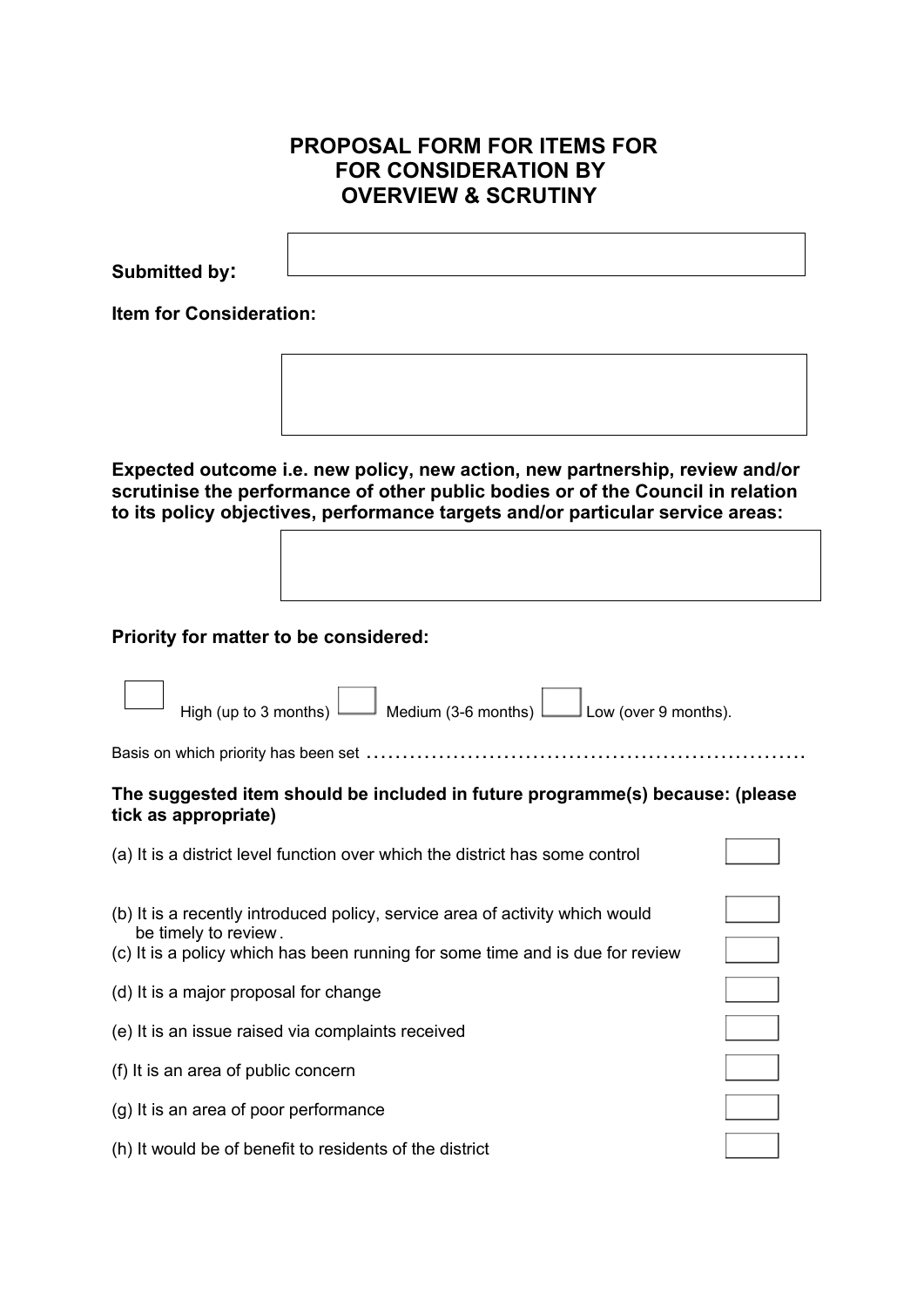## **PROPOSAL FORM FOR ITEMS FOR FOR CONSIDERATION BY OVERVIEW & SCRUTINY**

**Submitted by:**

**Item for Consideration:**



**Expected outcome i.e. new policy, new action, new partnership, review and/or scrutinise the performance of other public bodies or of the Council in relation to its policy objectives, performance targets and/or particular service areas:**

**Priority for matter to be considered:**

| High (up to 3 months) $\Box$ Medium (3-6 months)<br>Low (over 9 months).                                                                                                              |  |
|---------------------------------------------------------------------------------------------------------------------------------------------------------------------------------------|--|
|                                                                                                                                                                                       |  |
| The suggested item should be included in future programme(s) because: (please<br>tick as appropriate)                                                                                 |  |
| (a) It is a district level function over which the district has some control                                                                                                          |  |
| (b) It is a recently introduced policy, service area of activity which would<br>be timely to review.<br>(c) It is a policy which has been running for some time and is due for review |  |
| (d) It is a major proposal for change                                                                                                                                                 |  |
| (e) It is an issue raised via complaints received                                                                                                                                     |  |
| (f) It is an area of public concern                                                                                                                                                   |  |
| (g) It is an area of poor performance                                                                                                                                                 |  |
| (h) It would be of benefit to residents of the district                                                                                                                               |  |